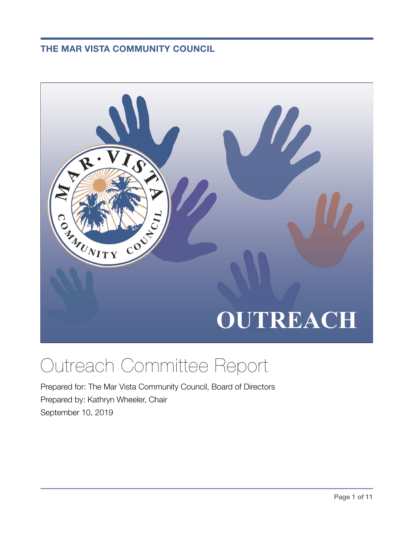**THE MAR VISTA COMMUNITY COUNCIL**



# Outreach Committee Report

Prepared for: The Mar Vista Community Council, Board of Directors Prepared by: Kathryn Wheeler, Chair September 10, 2019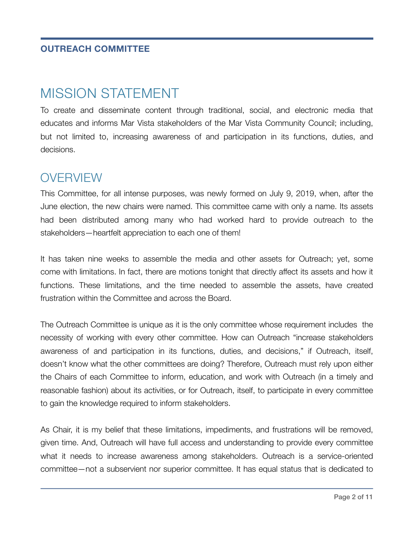#### **OUTREACH COMMITTEE**

# MISSION STATEMENT

To create and disseminate content through traditional, social, and electronic media that educates and informs Mar Vista stakeholders of the Mar Vista Community Council; including, but not limited to, increasing awareness of and participation in its functions, duties, and decisions.

### **OVERVIEW**

This Committee, for all intense purposes, was newly formed on July 9, 2019, when, after the June election, the new chairs were named. This committee came with only a name. Its assets had been distributed among many who had worked hard to provide outreach to the stakeholders—heartfelt appreciation to each one of them!

It has taken nine weeks to assemble the media and other assets for Outreach; yet, some come with limitations. In fact, there are motions tonight that directly affect its assets and how it functions. These limitations, and the time needed to assemble the assets, have created frustration within the Committee and across the Board.

The Outreach Committee is unique as it is the only committee whose requirement includes the necessity of working with every other committee. How can Outreach "increase stakeholders awareness of and participation in its functions, duties, and decisions," if Outreach, itself, doesn't know what the other committees are doing? Therefore, Outreach must rely upon either the Chairs of each Committee to inform, education, and work with Outreach (in a timely and reasonable fashion) about its activities, or for Outreach, itself, to participate in every committee to gain the knowledge required to inform stakeholders.

As Chair, it is my belief that these limitations, impediments, and frustrations will be removed, given time. And, Outreach will have full access and understanding to provide every committee what it needs to increase awareness among stakeholders. Outreach is a service-oriented committee—not a subservient nor superior committee. It has equal status that is dedicated to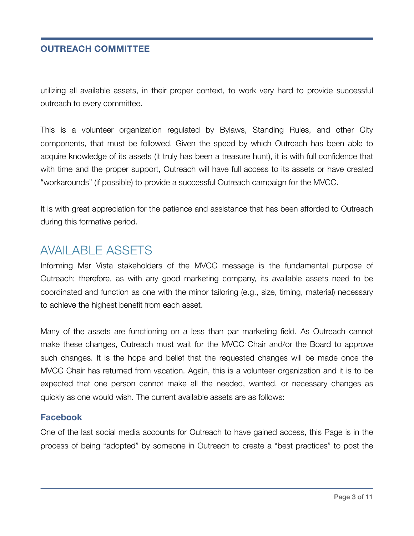#### **OUTREACH COMMITTEE**

utilizing all available assets, in their proper context, to work very hard to provide successful outreach to every committee.

This is a volunteer organization regulated by Bylaws, Standing Rules, and other City components, that must be followed. Given the speed by which Outreach has been able to acquire knowledge of its assets (it truly has been a treasure hunt), it is with full confidence that with time and the proper support, Outreach will have full access to its assets or have created "workarounds" (if possible) to provide a successful Outreach campaign for the MVCC.

It is with great appreciation for the patience and assistance that has been afforded to Outreach during this formative period.

### AVAILABLE ASSETS

Informing Mar Vista stakeholders of the MVCC message is the fundamental purpose of Outreach; therefore, as with any good marketing company, its available assets need to be coordinated and function as one with the minor tailoring (e.g., size, timing, material) necessary to achieve the highest benefit from each asset.

Many of the assets are functioning on a less than par marketing field. As Outreach cannot make these changes, Outreach must wait for the MVCC Chair and/or the Board to approve such changes. It is the hope and belief that the requested changes will be made once the MVCC Chair has returned from vacation. Again, this is a volunteer organization and it is to be expected that one person cannot make all the needed, wanted, or necessary changes as quickly as one would wish. The current available assets are as follows:

#### **Facebook**

One of the last social media accounts for Outreach to have gained access, this Page is in the process of being "adopted" by someone in Outreach to create a "best practices" to post the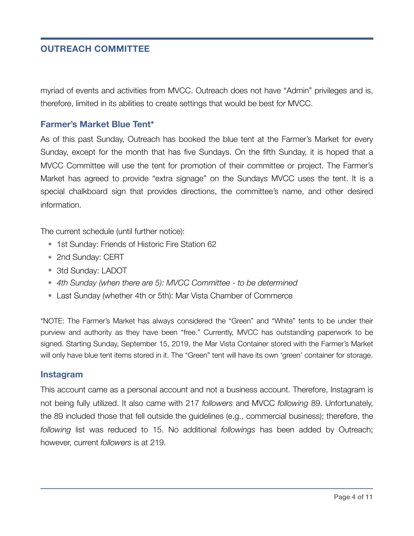#### **OUTREACH COMMITTEE**

myriad of events and activities from MVCC. Outreach does not have "Admin" privileges and is, therefore, limited in its abilities to create settings that would be best for MVCC.

#### **Farmer's Market Blue Tent\***

As of this past Sunday, Outreach has booked the blue tent at the Farmer's Market for every Sunday, except for the month that has five Sundays. On the fifth Sunday, it is hoped that a MVCC Committee will use the tent for promotion of their committee or project. The Farmer's Market has agreed to provide "extra signage" on the Sundays MVCC uses the tent. It is a special chalkboard sign that provides directions, the committee's name, and other desired information.

The current schedule (until further notice):

- 1st Sunday: Friends of Historic Fire Station 62
- 2nd Sunday: CERT
- 3td Sunday: LADOT
- *• 4th Sunday (when there are 5): MVCC Committee to be determined*
- Last Sunday (whether 4th or 5th): Mar Vista Chamber of Commerce

\*NOTE: The Farmer's Market has always considered the "Green" and "White" tents to be under their purview and authority as they have been "free." Currently, MVCC has outstanding paperwork to be signed. Starting Sunday, September 15, 2019, the Mar Vista Container stored with the Farmer's Market will only have blue tent items stored in it. The "Green" tent will have its own 'green' container for storage.

#### **Instagram**

This account came as a personal account and not a business account. Therefore, Instagram is not being fully utilized. It also came with 217 *followers* and MVCC *following* 89. Unfortunately, the 89 included those that fell outside the guidelines (e.g., commercial business); therefore, the *following* list was reduced to 15. No additional *followings* has been added by Outreach; however, current *followers* is at 219.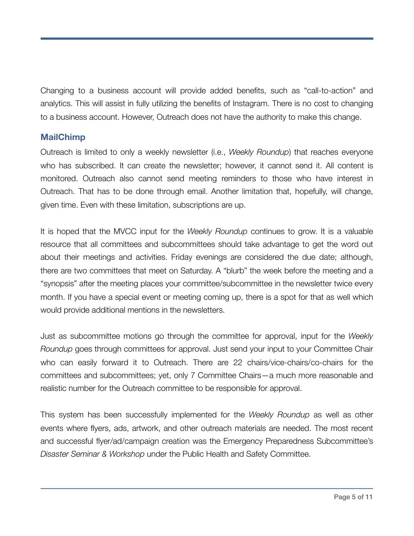Changing to a business account will provide added benefits, such as "call-to-action" and analytics. This will assist in fully utilizing the benefits of Instagram. There is no cost to changing to a business account. However, Outreach does not have the authority to make this change.

#### **MailChimp**

Outreach is limited to only a weekly newsletter (i.e., *Weekly Roundup*) that reaches everyone who has subscribed. It can create the newsletter; however, it cannot send it. All content is monitored. Outreach also cannot send meeting reminders to those who have interest in Outreach. That has to be done through email. Another limitation that, hopefully, will change, given time. Even with these limitation, subscriptions are up.

It is hoped that the MVCC input for the *Weekly Roundup* continues to grow. It is a valuable resource that all committees and subcommittees should take advantage to get the word out about their meetings and activities. Friday evenings are considered the due date; although, there are two committees that meet on Saturday. A "blurb" the week before the meeting and a "synopsis" after the meeting places your committee/subcommittee in the newsletter twice every month. If you have a special event or meeting coming up, there is a spot for that as well which would provide additional mentions in the newsletters.

Just as subcommittee motions go through the committee for approval, input for the *Weekly Roundup* goes through committees for approval. Just send your input to your Committee Chair who can easily forward it to Outreach. There are 22 chairs/vice-chairs/co-chairs for the committees and subcommittees; yet, only 7 Committee Chairs—a much more reasonable and realistic number for the Outreach committee to be responsible for approval.

This system has been successfully implemented for the *Weekly Roundup* as well as other events where flyers, ads, artwork, and other outreach materials are needed. The most recent and successful flyer/ad/campaign creation was the Emergency Preparedness Subcommittee's *Disaster Seminar & Workshop* under the Public Health and Safety Committee.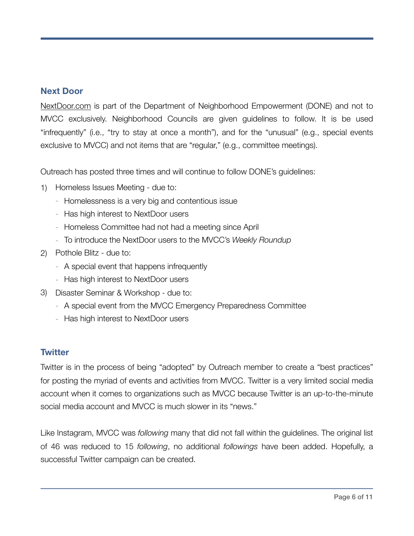#### **Next Door**

[NextDoor.com](http://NextDoor.com) is part of the Department of Neighborhood Empowerment (DONE) and not to MVCC exclusively. Neighborhood Councils are given guidelines to follow. It is be used "infrequently" (i.e., "try to stay at once a month"), and for the "unusual" (e.g., special events exclusive to MVCC) and not items that are "regular," (e.g., committee meetings).

Outreach has posted three times and will continue to follow DONE's guidelines:

- 1) Homeless Issues Meeting due to:
	- Homelessness is a very big and contentious issue
	- Has high interest to NextDoor users
	- Homeless Committee had not had a meeting since April
	- To introduce the NextDoor users to the MVCC's *Weekly Roundup*
- 2) Pothole Blitz due to:
	- A special event that happens infrequently
	- Has high interest to NextDoor users
- 3) Disaster Seminar & Workshop due to:
	- A special event from the MVCC Emergency Preparedness Committee
	- Has high interest to NextDoor users

#### **Twitter**

Twitter is in the process of being "adopted" by Outreach member to create a "best practices" for posting the myriad of events and activities from MVCC. Twitter is a very limited social media account when it comes to organizations such as MVCC because Twitter is an up-to-the-minute social media account and MVCC is much slower in its "news."

Like Instagram, MVCC was *following* many that did not fall within the guidelines. The original list of 46 was reduced to 15 *following*, no additional *followings* have been added. Hopefully, a successful Twitter campaign can be created.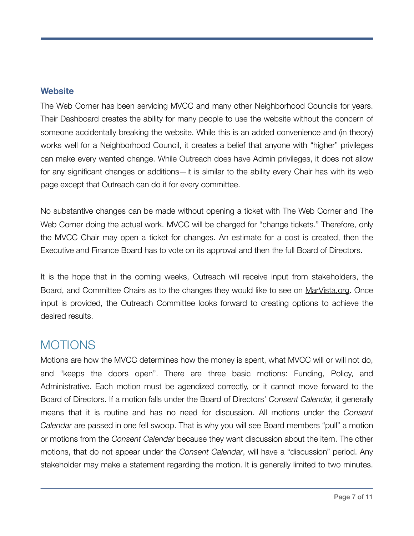#### **Website**

The Web Corner has been servicing MVCC and many other Neighborhood Councils for years. Their Dashboard creates the ability for many people to use the website without the concern of someone accidentally breaking the website. While this is an added convenience and (in theory) works well for a Neighborhood Council, it creates a belief that anyone with "higher" privileges can make every wanted change. While Outreach does have Admin privileges, it does not allow for any significant changes or additions—it is similar to the ability every Chair has with its web page except that Outreach can do it for every committee.

No substantive changes can be made without opening a ticket with The Web Corner and The Web Corner doing the actual work. MVCC will be charged for "change tickets." Therefore, only the MVCC Chair may open a ticket for changes. An estimate for a cost is created, then the Executive and Finance Board has to vote on its approval and then the full Board of Directors.

It is the hope that in the coming weeks, Outreach will receive input from stakeholders, the Board, and Committee Chairs as to the changes they would like to see on [MarVista.org](http://MarVista.org). Once input is provided, the Outreach Committee looks forward to creating options to achieve the desired results.

### **MOTIONS**

Motions are how the MVCC determines how the money is spent, what MVCC will or will not do, and "keeps the doors open". There are three basic motions: Funding, Policy, and Administrative. Each motion must be agendized correctly, or it cannot move forward to the Board of Directors. If a motion falls under the Board of Directors' *Consent Calendar,* it generally means that it is routine and has no need for discussion. All motions under the *Consent Calendar* are passed in one fell swoop. That is why you will see Board members "pull" a motion or motions from the *Consent Calendar* because they want discussion about the item. The other motions, that do not appear under the *Consent Calendar*, will have a "discussion" period. Any stakeholder may make a statement regarding the motion. It is generally limited to two minutes.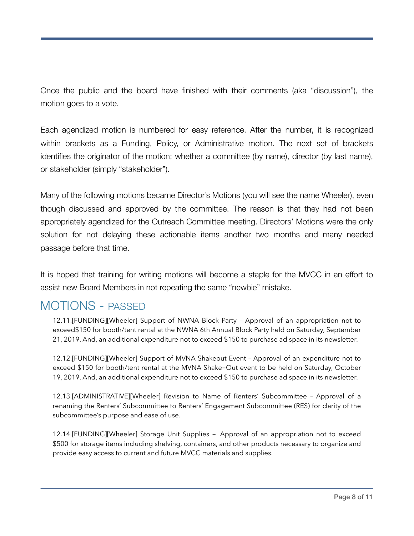Once the public and the board have finished with their comments (aka "discussion"), the motion goes to a vote.

Each agendized motion is numbered for easy reference. After the number, it is recognized within brackets as a Funding, Policy, or Administrative motion. The next set of brackets identifies the originator of the motion; whether a committee (by name), director (by last name), or stakeholder (simply "stakeholder").

Many of the following motions became Director's Motions (you will see the name Wheeler), even though discussed and approved by the committee. The reason is that they had not been appropriately agendized for the Outreach Committee meeting. Directors' Motions were the only solution for not delaying these actionable items another two months and many needed passage before that time.

It is hoped that training for writing motions will become a staple for the MVCC in an effort to assist new Board Members in not repeating the same "newbie" mistake.

### MOTIONS - PASSED

12.11.[FUNDING][Wheeler] Support of NWNA Block Party – Approval of an appropriation not to exceed\$150 for booth/tent rental at the NWNA 6th Annual Block Party held on Saturday, September 21, 2019. And, an additional expenditure not to exceed \$150 to purchase ad space in its newsletter.

12.12.[FUNDING][Wheeler] Support of MVNA Shakeout Event – Approval of an expenditure not to exceed \$150 for booth/tent rental at the MVNA Shake-Out event to be held on Saturday, October 19, 2019. And, an additional expenditure not to exceed \$150 to purchase ad space in its newsletter.

12.13.[ADMINISTRATIVE][Wheeler] Revision to Name of Renters' Subcommittee – Approval of a renaming the Renters' Subcommittee to Renters' Engagement Subcommittee (RES) for clarity of the subcommittee's purpose and ease of use.

12.14.[FUNDING][Wheeler] Storage Unit Supplies - Approval of an appropriation not to exceed \$500 for storage items including shelving, containers, and other products necessary to organize and provide easy access to current and future MVCC materials and supplies.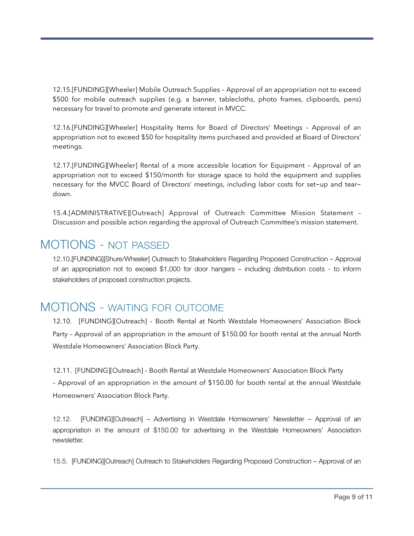12.15.[FUNDING][Wheeler] Mobile Outreach Supplies – Approval of an appropriation not to exceed \$500 for mobile outreach supplies (e.g. a banner, tablecloths, photo frames, clipboards, pens) necessary for travel to promote and generate interest in MVCC.

12.16.[FUNDING][Wheeler] Hospitality Items for Board of Directors' Meetings – Approval of an appropriation not to exceed \$50 for hospitality items purchased and provided at Board of Directors' meetings.

12.17.[FUNDING][Wheeler] Rental of a more accessible location for Equipment – Approval of an appropriation not to exceed \$150/month for storage space to hold the equipment and supplies necessary for the MVCC Board of Directors' meetings, including labor costs for set-up and teardown.

15.4.[ADMINISTRATIVE][Outreach] Approval of Outreach Committee Mission Statement – Discussion and possible action regarding the approval of Outreach Committee's mission statement.

### MOTIONS - NOT PASSED

12.10.[FUNDING][Shure/Wheeler] Outreach to Stakeholders Regarding Proposed Construction – Approval of an appropriation not to exceed \$1,000 for door hangers – including distribution costs ‐ to inform stakeholders of proposed construction projects.

### MOTIONS - WAITING FOR OUTCOME

12.10. [FUNDING][Outreach] – Booth Rental at North Westdale Homeowners' Association Block Party – Approval of an appropriation in the amount of \$150.00 for booth rental at the annual North Westdale Homeowners' Association Block Party.

12.11. [FUNDING][Outreach] – Booth Rental at Westdale Homeowners' Association Block Party – Approval of an appropriation in the amount of \$150.00 for booth rental at the annual Westdale Homeowners' Association Block Party.

12.12. [FUNDING][Outreach] – Advertising in Westdale Homeowners' Newsletter – Approval of an appropriation in the amount of \$150.00 for advertising in the Westdale Homeowners' Association newsletter.

15.5. [FUNDING][Outreach] Outreach to Stakeholders Regarding Proposed Construction – Approval of an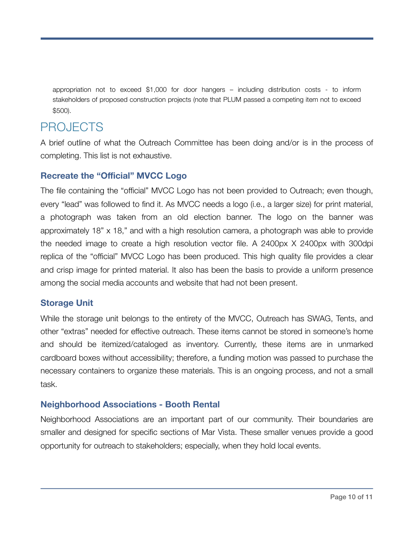appropriation not to exceed \$1,000 for door hangers – including distribution costs ‐ to inform stakeholders of proposed construction projects (note that PLUM passed a competing item not to exceed \$500).

## PROJECTS

A brief outline of what the Outreach Committee has been doing and/or is in the process of completing. This list is not exhaustive.

#### **Recreate the "Official" MVCC Logo**

The file containing the "official" MVCC Logo has not been provided to Outreach; even though, every "lead" was followed to find it. As MVCC needs a logo (i.e., a larger size) for print material, a photograph was taken from an old election banner. The logo on the banner was approximately 18" x 18," and with a high resolution camera, a photograph was able to provide the needed image to create a high resolution vector file. A 2400px X 2400px with 300dpi replica of the "official" MVCC Logo has been produced. This high quality file provides a clear and crisp image for printed material. It also has been the basis to provide a uniform presence among the social media accounts and website that had not been present.

#### **Storage Unit**

While the storage unit belongs to the entirety of the MVCC, Outreach has SWAG, Tents, and other "extras" needed for effective outreach. These items cannot be stored in someone's home and should be itemized/cataloged as inventory. Currently, these items are in unmarked cardboard boxes without accessibility; therefore, a funding motion was passed to purchase the necessary containers to organize these materials. This is an ongoing process, and not a small task.

#### **Neighborhood Associations - Booth Rental**

Neighborhood Associations are an important part of our community. Their boundaries are smaller and designed for specific sections of Mar Vista. These smaller venues provide a good opportunity for outreach to stakeholders; especially, when they hold local events.